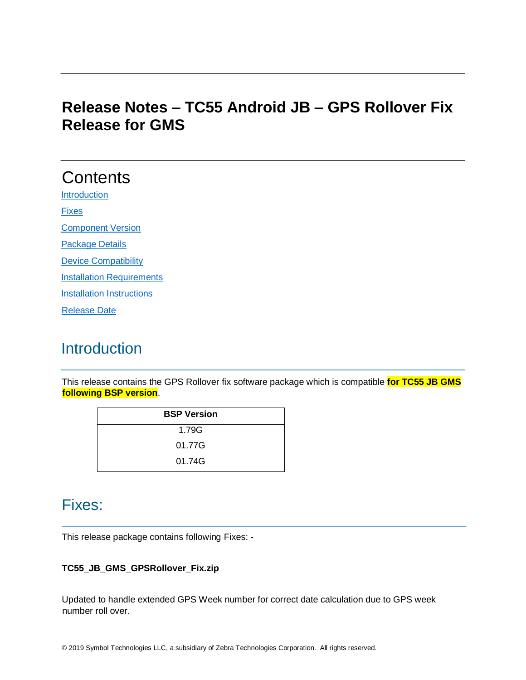# **Release Notes – TC55 Android JB – GPS Rollover Fix Release for GMS**

# **Contents**

**[Introduction](#page-0-0)** 

[Fixes](#page-0-1)

[Component Version](#page-1-0) 

[Package Details](#page-1-1)

[Device Compatibility](#page-1-2)

**[Installation Requirements](#page-1-3)** 

**[Installation Instructions](#page-2-0)** 

[Release Date](#page-2-1)

# <span id="page-0-0"></span>**Introduction**

This release contains the GPS Rollover fix software package which is compatible **for TC55 JB GMS following BSP version**.

| <b>BSP Version</b> |
|--------------------|
| 1.79G              |
| 01.77G             |
| 01.74G             |

### <span id="page-0-1"></span>Fixes:

This release package contains following Fixes: -

#### **TC55\_JB\_GMS\_GPSRollover\_Fix.zip**

Updated to handle extended GPS Week number for correct date calculation due to GPS week number roll over.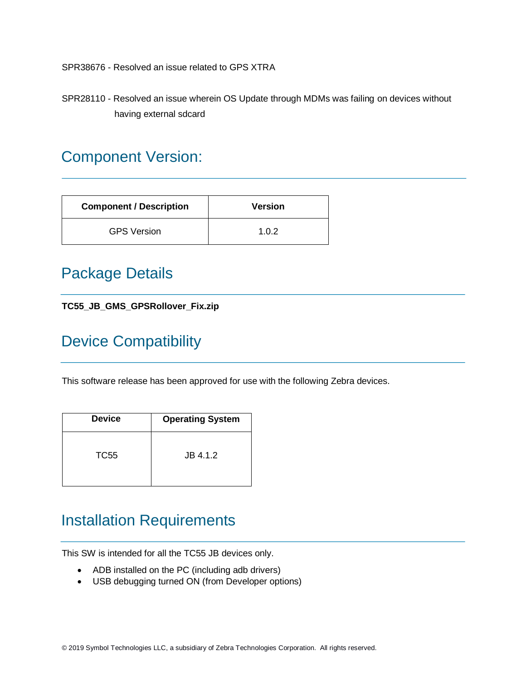SPR38676 - Resolved an issue related to GPS XTRA

SPR28110 - Resolved an issue wherein OS Update through MDMs was failing on devices without having external sdcard

### <span id="page-1-0"></span>Component Version:

| <b>Component / Description</b> | <b>Version</b> |
|--------------------------------|----------------|
| <b>GPS Version</b>             | 1.0.2          |

### <span id="page-1-1"></span>Package Details

#### **TC55\_JB\_GMS\_GPSRollover\_Fix.zip**

# <span id="page-1-2"></span>Device Compatibility

This software release has been approved for use with the following Zebra devices.

| <b>Device</b> | <b>Operating System</b> |
|---------------|-------------------------|
| TC55          | JB 4.1.2                |

### <span id="page-1-3"></span>Installation Requirements

This SW is intended for all the TC55 JB devices only.

- ADB installed on the PC (including adb drivers)
- USB debugging turned ON (from Developer options)